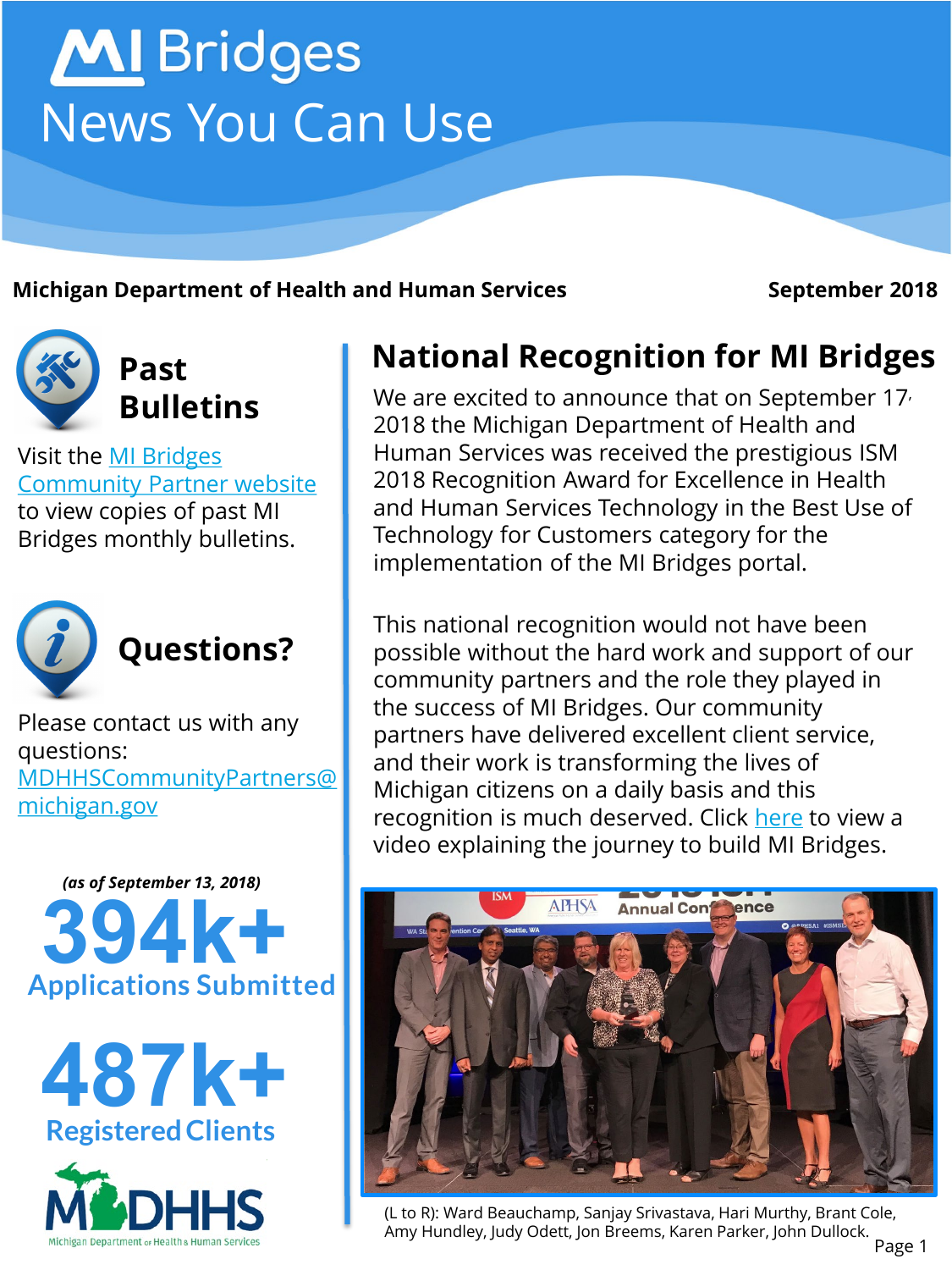# **MI** Bridges News You Can Use

**Michigan Department of Health and Human Services <b>September 2018** 



Visit the MI Bridges [Community Partner website](http://www.michigan.gov/mdhhs/0,5885,7-339-71551_82637---,00.html)  to view copies of past MI Bridges monthly bulletins.



Please contact us with any questions: [MDHHSCommunityPartners@](mailto:MDHHSCommunityPartners@michigan.gov) michigan.gov







### **National Recognition for MI Bridges**

We are excited to announce that on September 17<sup>,</sup> 2018 the Michigan Department of Health and Human Services was received the prestigious ISM 2018 Recognition Award for Excellence in Health and Human Services Technology in the Best Use of Technology for Customers category for the implementation of the MI Bridges portal.

This national recognition would not have been possible without the hard work and support of our community partners and the role they played in the success of MI Bridges. Our community partners have delivered excellent client service, and their work is transforming the lives of Michigan citizens on a daily basis and this recognition is much deserved. Click [here](https://youtu.be/lAiBuearpng) to view a video explaining the journey to build MI Bridges.



(L to R): Ward Beauchamp, Sanjay Srivastava, Hari Murthy, Brant Cole, Amy Hundley, Judy Odett, Jon Breems, Karen Parker, John Dullock.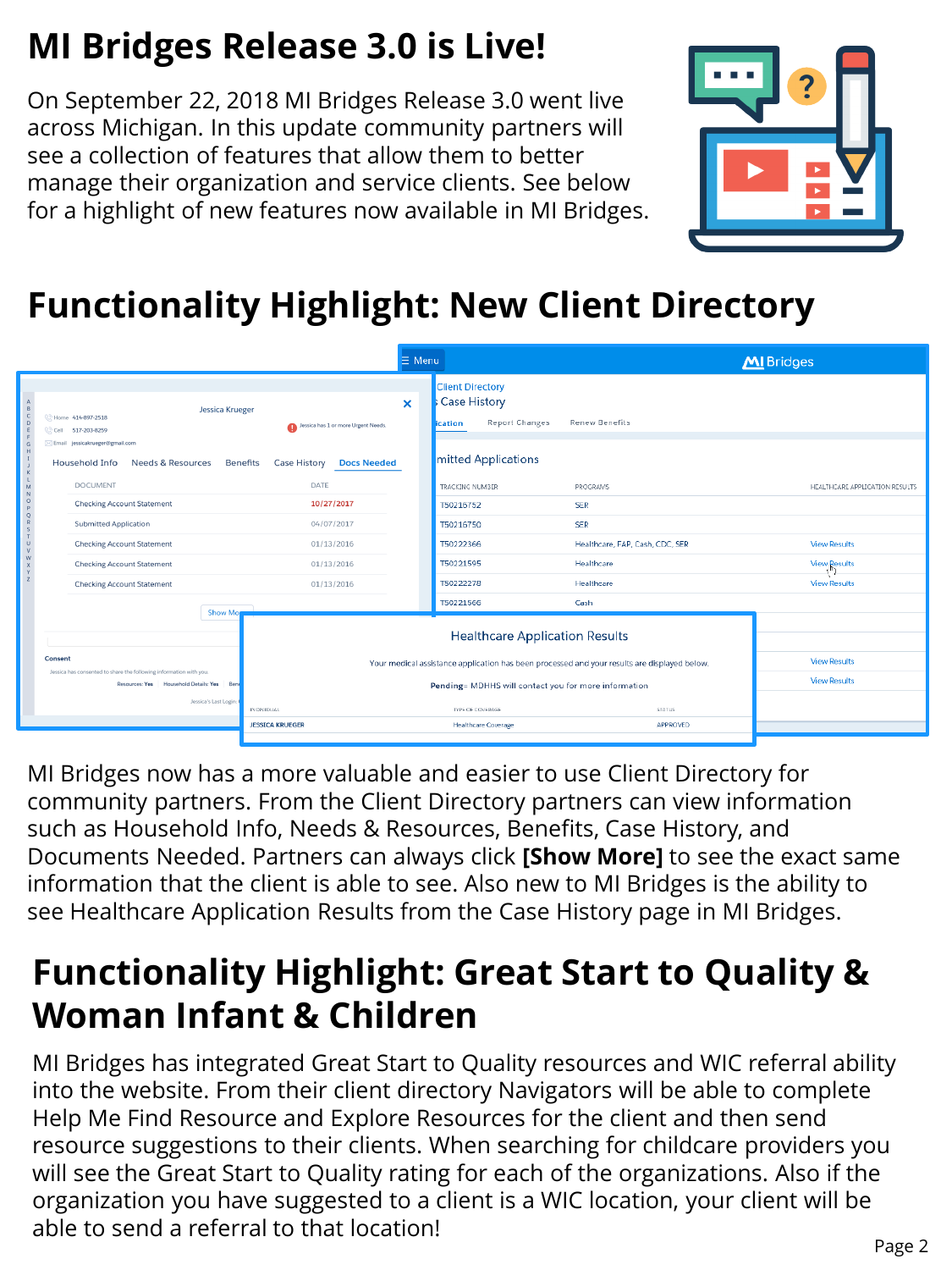# **MI Bridges Release 3.0 is Live!**

On September 22, 2018 MI Bridges Release 3.0 went live across Michigan. In this update community partners will see a collection of features that allow them to better manage their organization and service clients. See below for a highlight of new features now available in MI Bridges.



## **Functionality Highlight: New Client Directory**

|                                           |                                                                                           |                                                               | $\equiv$ Menu                                  |                                                                                              |                                  | MI Bridges                     |
|-------------------------------------------|-------------------------------------------------------------------------------------------|---------------------------------------------------------------|------------------------------------------------|----------------------------------------------------------------------------------------------|----------------------------------|--------------------------------|
| M                                         | <b>Jessica Krueger</b><br>C Home 414-897-2518<br>C Cell 517-203-8259                      | Jessica has 1 or more Urgent Needs.                           | $\mathbf x$                                    | <b>Client Directory</b><br><b>Case History</b><br><b>Report Changes</b><br>ication           | <b>Renew Benefits</b>            |                                |
|                                           | Comail jossicakrueger@gmail.com<br>Household Info<br>Needs & Resources<br><b>DOCUMENT</b> | <b>Benefits</b><br>Case History<br><b>Docs Needed</b><br>DATE |                                                | mitted Applications<br>TRACKING NUMBER                                                       | <b>PROGRAMS</b>                  | HEALTHCARE APPLICATION RESULTS |
| $\circ$<br>$\mathbf{D}$                   | <b>Checking Account Statement</b>                                                         | 10/27/2017                                                    |                                                | T50216752                                                                                    | <b>SER</b>                       |                                |
| $\mathsf Q$<br>$\mathsf S$                | <b>Submitted Application</b><br>04/07/2017                                                |                                                               |                                                | T50216750                                                                                    | <b>SER</b>                       |                                |
| $\cup$<br>$\mathbf{V}$                    | <b>Checking Account Statement</b>                                                         | 01/13/2016                                                    |                                                | T50222366                                                                                    | Healthcare, FAP, Cash, CDC, SER  | <b>View Results</b>            |
| W                                         | <b>Checking Account Statement</b>                                                         | 01/13/2016                                                    |                                                | T50221595                                                                                    | Healthcare                       | <b>View Results</b>            |
|                                           | <b>Checking Account Statement</b>                                                         | 01/13/2016                                                    |                                                | T50222278                                                                                    | Healthcare                       | <b>View Results</b>            |
|                                           |                                                                                           |                                                               |                                                | T50221566                                                                                    | Cash                             |                                |
|                                           | <b>Show Mon</b>                                                                           |                                                               |                                                | <b>Healthcare Application Results</b>                                                        |                                  |                                |
|                                           | Consent<br>Jessica has consented to share the following information with you.             |                                                               |                                                | Your medical assistance application has been processed and your results are displayed below. |                                  | <b>View Results</b>            |
| Resources: Yes Household Details: Yes Ben |                                                                                           |                                                               |                                                | Pending= MDHHS will contact you for more information                                         |                                  | <b>View Results</b>            |
|                                           | Jessica's Last Login:<br><b>INDIVIDUAL</b><br><b>JESSICA KRUEGER</b>                      |                                                               | TYPE OF COVERAGE<br><b>Healthcare Coverage</b> |                                                                                              | <b>STATUS</b><br><b>APPROVED</b> |                                |
|                                           |                                                                                           |                                                               |                                                |                                                                                              |                                  |                                |

MI Bridges now has a more valuable and easier to use Client Directory for community partners. From the Client Directory partners can view information such as Household Info, Needs & Resources, Benefits, Case History, and Documents Needed. Partners can always click **[Show More]** to see the exact same information that the client is able to see. Also new to MI Bridges is the ability to see Healthcare Application Results from the Case History page in MI Bridges.

## **Functionality Highlight: Great Start to Quality & Woman Infant & Children**

MI Bridges has integrated Great Start to Quality resources and WIC referral ability into the website. From their client directory Navigators will be able to complete Help Me Find Resource and Explore Resources for the client and then send resource suggestions to their clients. When searching for childcare providers you will see the Great Start to Quality rating for each of the organizations. Also if the organization you have suggested to a client is a WIC location, your client will be able to send a referral to that location!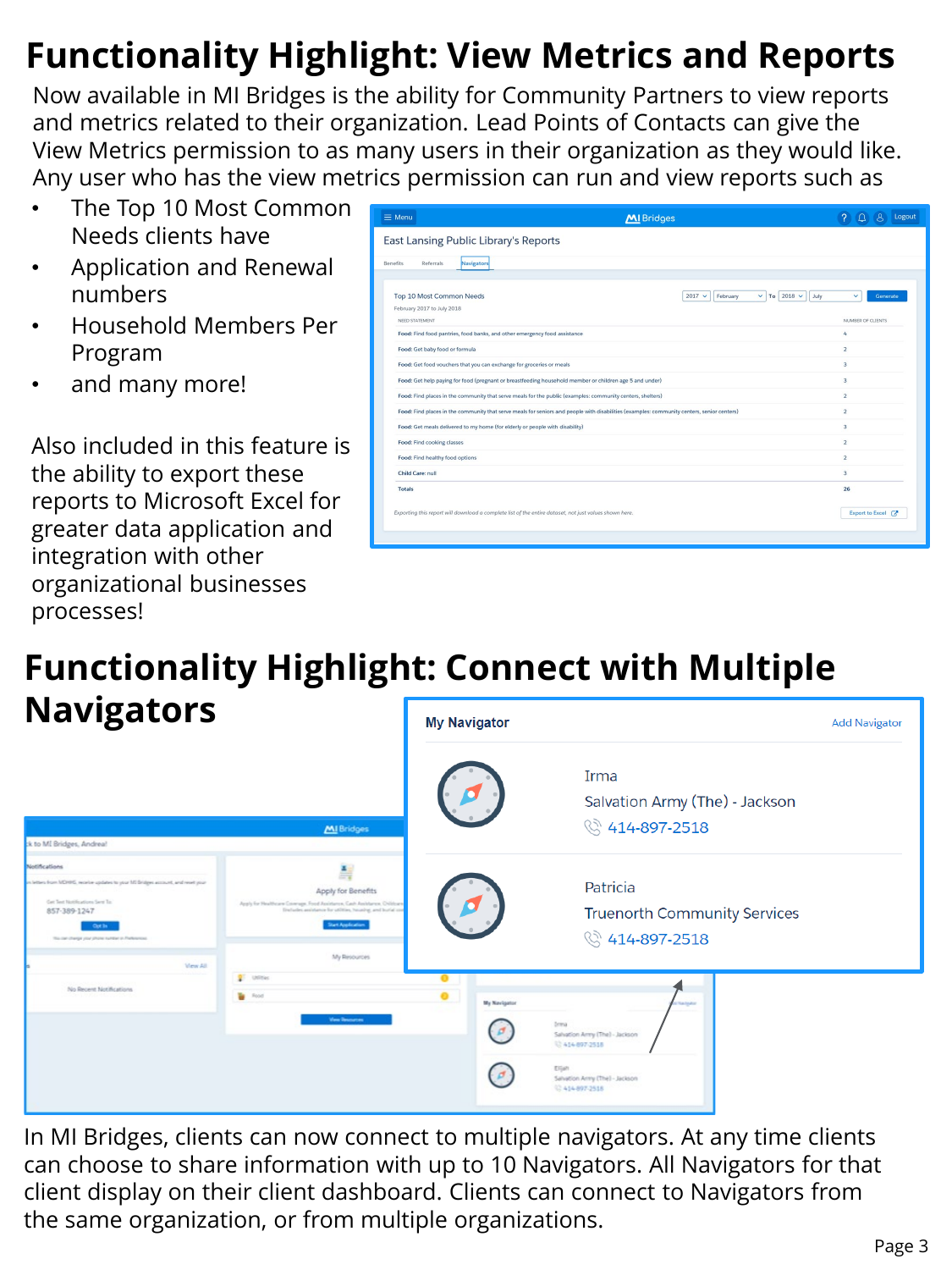# **Functionality Highlight: View Metrics and Reports**

Now available in MI Bridges is the ability for Community Partners to view reports and metrics related to their organization. Lead Points of Contacts can give the View Metrics permission to as many users in their organization as they would like. Any user who has the view metrics permission can run and view reports such as

- The Top 10 Most Common Needs clients have
- Application and Renewal numbers
- Household Members Per Program
- and many more!

Also included in this feature is the ability to export these reports to Microsoft Excel for greater data application and integration with other organizational businesses processes!

| $\equiv$ Menu                                                                                                                              | <b>MI</b> Bridges                             | Logout                  |  |  |  |  |  |  |
|--------------------------------------------------------------------------------------------------------------------------------------------|-----------------------------------------------|-------------------------|--|--|--|--|--|--|
| East Lansing Public Library's Reports                                                                                                      |                                               |                         |  |  |  |  |  |  |
| Navigators<br><b>Benefits</b><br>Referrals                                                                                                 |                                               |                         |  |  |  |  |  |  |
|                                                                                                                                            |                                               |                         |  |  |  |  |  |  |
| Top 10 Most Common Needs                                                                                                                   | $\vee$ To 2018 $\vee$<br>$2017 -$<br>February | July<br>v<br>Generate   |  |  |  |  |  |  |
| February 2017 to July 2018<br>NEED STATEMENT                                                                                               |                                               | NUMBER OF CLIENTS       |  |  |  |  |  |  |
| Food: Find food pantries, food banks, and other emergency food assistance                                                                  |                                               | 4                       |  |  |  |  |  |  |
| Food: Get baby food or formula                                                                                                             |                                               | $\overline{2}$          |  |  |  |  |  |  |
| Food: Get food vouchers that you can exchange for groceries or meals                                                                       |                                               | $\mathbf{R}$            |  |  |  |  |  |  |
| Food: Get help paying for food (pregnant or breastfeeding household member or children age 5 and under)                                    | 3                                             |                         |  |  |  |  |  |  |
| Food: Find places in the community that serve meals for the public (examples: community centers, shelters)                                 | $\overline{a}$                                |                         |  |  |  |  |  |  |
| Food: Find places in the community that serve meals for seniors and people with disabilities (examples: community centers, senior centers) | $\overline{2}$                                |                         |  |  |  |  |  |  |
| Food: Get meals delivered to my home (for elderly or people with disability)                                                               |                                               | $\overline{\mathbf{3}}$ |  |  |  |  |  |  |
| Food: Find cooking classes                                                                                                                 |                                               | $\overline{2}$          |  |  |  |  |  |  |
| Food: Find healthy food options                                                                                                            |                                               | $\overline{2}$          |  |  |  |  |  |  |
| Child Care: null                                                                                                                           |                                               | 3                       |  |  |  |  |  |  |
| <b>Totals</b>                                                                                                                              |                                               | 26                      |  |  |  |  |  |  |
| Exporting this report will download a complete list of the entire dataset, not just values shown here.                                     |                                               | Export to Excel [7      |  |  |  |  |  |  |
|                                                                                                                                            |                                               |                         |  |  |  |  |  |  |

#### **Functionality Highlight: Connect with Multiple Navigators**

| <b>Navigators</b>                                                                                                                                                                                                                                                            |                                                                                                                                                                                                          |  | <b>My Navigator</b> |                                                                                                                                   |  |
|------------------------------------------------------------------------------------------------------------------------------------------------------------------------------------------------------------------------------------------------------------------------------|----------------------------------------------------------------------------------------------------------------------------------------------------------------------------------------------------------|--|---------------------|-----------------------------------------------------------------------------------------------------------------------------------|--|
|                                                                                                                                                                                                                                                                              | MI Bridges                                                                                                                                                                                               |  |                     | Irma<br>Salvation Army (The) - Jackson<br>§ 414-897-2518                                                                          |  |
| * to MI Bridges, Andrea!<br><b>Notifications</b><br>in letters from MDHHS, receive updates to your MS Bridges account, and reset your<br>Get Text Notifications Sent To:<br>857-389-1247<br><b>Cut In</b><br>This can change your phone suitable in Preferences<br>View All. | ă,<br>Apply for Benefits<br>Apply for Healthcare Coverage. Food Assistance, Cash Assistance, Orliticans<br>Frebeles anistance for atitize, housing, and burial cost<br>Start Application<br>My Resources |  |                     | Patricia<br><b>Truenorth Community Services</b><br>§ 414-897-2518                                                                 |  |
| No Recent Notifications                                                                                                                                                                                                                                                      | <b>D</b> <sup>E</sup> Utilities<br><b>B</b> Rood<br><b>View Descursos</b>                                                                                                                                |  | <b>My Navigator</b> | tatyku<br>breva<br>Salvation Arrry (The) - Jackson<br>12414-097-2518<br>Eljah<br>Salvation Army (The) - Jackson<br>C 414-897-2518 |  |

In MI Bridges, clients can now connect to multiple navigators. At any time clients can choose to share information with up to 10 Navigators. All Navigators for that client display on their client dashboard. Clients can connect to Navigators from the same organization, or from multiple organizations.